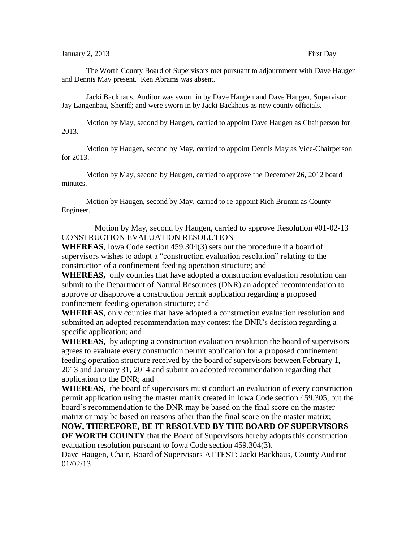The Worth County Board of Supervisors met pursuant to adjournment with Dave Haugen and Dennis May present. Ken Abrams was absent.

Jacki Backhaus, Auditor was sworn in by Dave Haugen and Dave Haugen, Supervisor; Jay Langenbau, Sheriff; and were sworn in by Jacki Backhaus as new county officials.

Motion by May, second by Haugen, carried to appoint Dave Haugen as Chairperson for 2013.

Motion by Haugen, second by May, carried to appoint Dennis May as Vice-Chairperson for 2013.

Motion by May, second by Haugen, carried to approve the December 26, 2012 board minutes.

Motion by Haugen, second by May, carried to re-appoint Rich Brumm as County Engineer.

Motion by May, second by Haugen, carried to approve Resolution #01-02-13 CONSTRUCTION EVALUATION RESOLUTION

**WHEREAS**, Iowa Code section 459.304(3) sets out the procedure if a board of supervisors wishes to adopt a "construction evaluation resolution" relating to the construction of a confinement feeding operation structure; and

**WHEREAS,** only counties that have adopted a construction evaluation resolution can submit to the Department of Natural Resources (DNR) an adopted recommendation to approve or disapprove a construction permit application regarding a proposed confinement feeding operation structure; and

**WHEREAS**, only counties that have adopted a construction evaluation resolution and submitted an adopted recommendation may contest the DNR's decision regarding a specific application; and

**WHEREAS,** by adopting a construction evaluation resolution the board of supervisors agrees to evaluate every construction permit application for a proposed confinement feeding operation structure received by the board of supervisors between February 1, 2013 and January 31, 2014 and submit an adopted recommendation regarding that application to the DNR; and

**WHEREAS,** the board of supervisors must conduct an evaluation of every construction permit application using the master matrix created in Iowa Code section 459.305, but the board's recommendation to the DNR may be based on the final score on the master matrix or may be based on reasons other than the final score on the master matrix;

**NOW, THEREFORE, BE IT RESOLVED BY THE BOARD OF SUPERVISORS OF WORTH COUNTY** that the Board of Supervisors hereby adopts this construction evaluation resolution pursuant to Iowa Code section 459.304(3).

Dave Haugen, Chair, Board of Supervisors ATTEST: Jacki Backhaus, County Auditor 01/02/13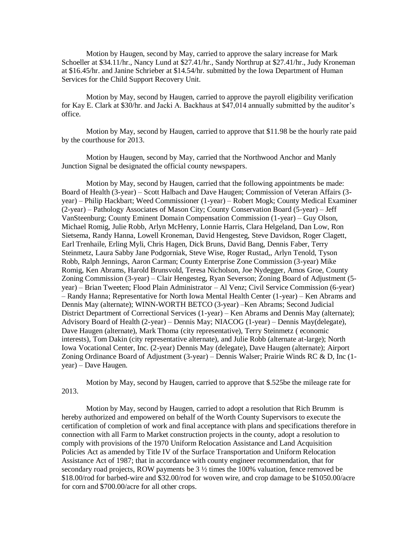Motion by Haugen, second by May, carried to approve the salary increase for Mark Schoeller at \$34.11/hr., Nancy Lund at \$27.41/hr., Sandy Northrup at \$27.41/hr., Judy Kroneman at \$16.45/hr. and Janine Schrieber at \$14.54/hr. submitted by the Iowa Department of Human Services for the Child Support Recovery Unit.

Motion by May, second by Haugen, carried to approve the payroll eligibility verification for Kay E. Clark at \$30/hr. and Jacki A. Backhaus at \$47,014 annually submitted by the auditor's office.

Motion by May, second by Haugen, carried to approve that \$11.98 be the hourly rate paid by the courthouse for 2013.

Motion by Haugen, second by May, carried that the Northwood Anchor and Manly Junction Signal be designated the official county newspapers.

Motion by May, second by Haugen, carried that the following appointments be made: Board of Health (3-year) – Scott Halbach and Dave Haugen; Commission of Veteran Affairs (3 year) – Philip Hackbart; Weed Commissioner (1-year) – Robert Mogk; County Medical Examiner (2-year) – Pathology Associates of Mason City; County Conservation Board (5-year) – Jeff VanSteenburg; County Eminent Domain Compensation Commission (1-year) – Guy Olson, Michael Romig, Julie Robb, Arlyn McHenry, Lonnie Harris, Clara Helgeland, Dan Low, Ron Sietsema, Randy Hanna, Lowell Kroneman, David Hengesteg, Steve Davidson, Roger Clagett, Earl Trenhaile, Erling Myli, Chris Hagen, Dick Bruns, David Bang, Dennis Faber, Terry Steinmetz, Laura Sabby Jane Podgorniak, Steve Wise, Roger Rustad,, Arlyn Tenold, Tyson Robb, Ralph Jennings, Aaron Carman; County Enterprise Zone Commission (3-year) Mike Romig, Ken Abrams, Harold Brunsvold, Teresa Nicholson, Joe Nydegger, Amos Groe, County Zoning Commission (3-year) – Clair Hengesteg, Ryan Severson; Zoning Board of Adjustment (5 year) – Brian Tweeten; Flood Plain Administrator – Al Venz; Civil Service Commission (6-year) – Randy Hanna; Representative for North Iowa Mental Health Center (1-year) – Ken Abrams and Dennis May (alternate); WINN-WORTH BETCO (3-year) –Ken Abrams; Second Judicial District Department of Correctional Services (1-year) – Ken Abrams and Dennis May (alternate); Advisory Board of Health (2-year) – Dennis May; NIACOG (1-year) – Dennis May(delegate), Dave Haugen (alternate), Mark Thoma (city representative), Terry Steinmetz ( economic interests), Tom Dakin (city representative alternate), and Julie Robb (alternate at-large); North Iowa Vocational Center, Inc. (2-year) Dennis May (delegate), Dave Haugen (alternate); Airport Zoning Ordinance Board of Adjustment  $(3$ -year) – Dennis Walser; Prairie Winds RC & D, Inc  $(1$ year) – Dave Haugen.

Motion by May, second by Haugen, carried to approve that \$.525be the mileage rate for 2013.

Motion by May, second by Haugen, carried to adopt a resolution that Rich Brumm is hereby authorized and empowered on behalf of the Worth County Supervisors to execute the certification of completion of work and final acceptance with plans and specifications therefore in connection with all Farm to Market construction projects in the county, adopt a resolution to comply with provisions of the 1970 Uniform Relocation Assistance and Land Acquisition Policies Act as amended by Title IV of the Surface Transportation and Uniform Relocation Assistance Act of 1987; that in accordance with county engineer recommendation, that for secondary road projects, ROW payments be 3 ½ times the 100% valuation, fence removed be \$18.00/rod for barbed-wire and \$32.00/rod for woven wire, and crop damage to be \$1050.00/acre for corn and \$700.00/acre for all other crops.